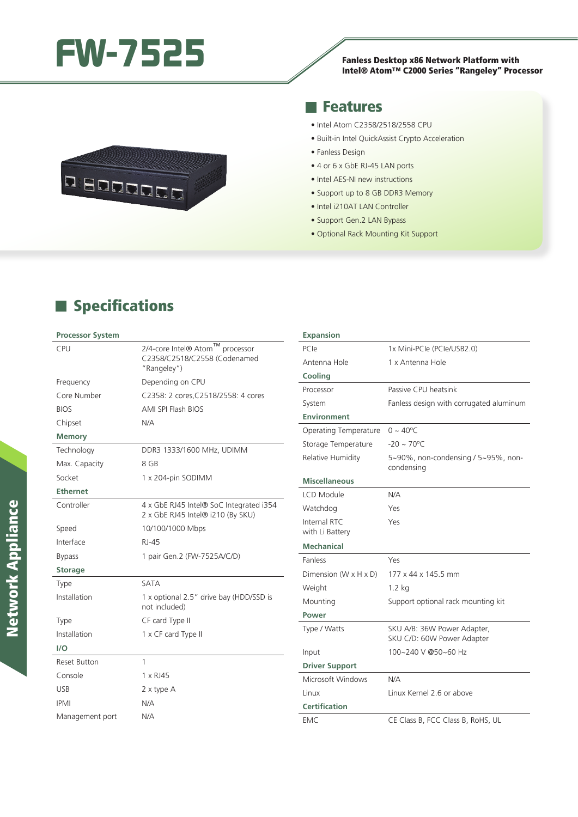# **FW-7525** Fanless Desktop x86 Network Platform with

# Fanless Desktop x86 Network Platform with<br>Intel® Atom™ C2000 Series "Rangeley" Processor



#### **Features**

- Intel Atom C2358/2518/2558 CPU
- Built-in Intel QuickAssist Crypto Acceleration
- Fanless Design
- 4 or 6 x GbE RJ-45 LAN ports
- Intel AES-NI new instructions
- Support up to 8 GB DDR3 Memory
- Intel i210AT LAN Controller
- Support Gen.2 LAN Bypass
- Optional Rack Mounting Kit Support

## **Specifications**

#### **Processor System**

| <b>CPU</b>          | ТM<br>2/4-core Intel® Atom<br>processor<br>C2358/C2518/C2558 (Codenamed<br>"Rangeley") |
|---------------------|----------------------------------------------------------------------------------------|
| Frequency           | Depending on CPU                                                                       |
| Core Number         | C2358: 2 cores, C2518/2558: 4 cores                                                    |
| <b>BIOS</b>         | AMI SPI Flash BIOS                                                                     |
| Chipset             | N/A                                                                                    |
| <b>Memory</b>       |                                                                                        |
| Technology          | DDR3 1333/1600 MHz, UDIMM                                                              |
| Max. Capacity       | 8 GB                                                                                   |
| Socket              | 1 x 204-pin SODIMM                                                                     |
| <b>Ethernet</b>     |                                                                                        |
| Controller          | 4 x GbE RJ45 Intel® SoC Integrated i354<br>2 x GbE RJ45 Intel® i210 (By SKU)           |
| Speed               | 10/100/1000 Mbps                                                                       |
| Interface           | RJ-45                                                                                  |
| <b>Bypass</b>       | 1 pair Gen.2 (FW-7525A/C/D)                                                            |
| <b>Storage</b>      |                                                                                        |
| Type                | <b>SATA</b>                                                                            |
| Installation        | 1 x optional 2.5" drive bay (HDD/SSD is<br>not included)                               |
| Type                | CF card Type II                                                                        |
| Installation        | 1 x CF card Type II                                                                    |
| 1/O                 |                                                                                        |
| <b>Reset Button</b> | 1                                                                                      |
| Console             | $1 \times R$ J $45$                                                                    |
| <b>USB</b>          | 2 x type A                                                                             |
| <b>IPMI</b>         | N/A                                                                                    |
| Management port     | N/A                                                                                    |

| <b>Expansion</b>                  |                                                           |
|-----------------------------------|-----------------------------------------------------------|
| PCIe                              | 1x Mini-PCle (PCle/USB2.0)                                |
| Antenna Hole                      | 1 x Antenna Hole                                          |
| Cooling                           |                                                           |
| Processor                         | Passive CPU heatsink                                      |
| System                            | Fanless design with corrugated aluminum                   |
| <b>Environment</b>                |                                                           |
| Operating Temperature             | $0 \sim 40^{\circ}C$                                      |
| Storage Temperature               | $-20 \sim 70^{\circ}C$                                    |
| Relative Humidity                 | 5~90%, non-condensing / 5~95%, non-<br>condensing         |
| <b>Miscellaneous</b>              |                                                           |
| LCD Module                        | N/A                                                       |
| Watchdog                          | Yes                                                       |
| Internal RTC<br>with Li Battery   | Yes                                                       |
| <b>Mechanical</b>                 |                                                           |
| <b>Fanless</b>                    | Yes                                                       |
| Dimension $(W \times H \times D)$ | 177 x 44 x 145.5 mm                                       |
| Weight                            | $1.2$ kg                                                  |
| Mounting                          | Support optional rack mounting kit                        |
| Power                             |                                                           |
| Type / Watts                      | SKU A/B: 36W Power Adapter,<br>SKU C/D: 60W Power Adapter |
| Input                             | 100~240 V @50~60 Hz                                       |
| <b>Driver Support</b>             |                                                           |
| Microsoft Windows                 | N/A                                                       |
| Linux                             | Linux Kernel 2.6 or above                                 |
| <b>Certification</b>              |                                                           |
| <b>EMC</b>                        | CE Class B, FCC Class B, RoHS, UL                         |